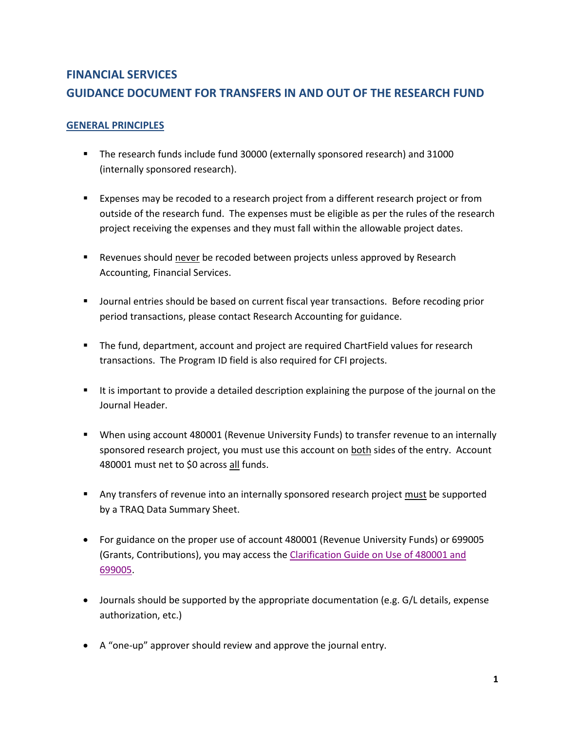## **FINANCIAL SERVICES GUIDANCE DOCUMENT FOR TRANSFERS IN AND OUT OF THE RESEARCH FUND**

## **GENERAL PRINCIPLES**

- The research funds include fund 30000 (externally sponsored research) and 31000 (internally sponsored research).
- **Expenses may be recoded to a research project from a different research project or from**  outside of the research fund. The expenses must be eligible as per the rules of the research project receiving the expenses and they must fall within the allowable project dates.
- Revenues should never be recoded between projects unless approved by Research Accounting, Financial Services.
- **Journal entries should be based on current fiscal year transactions. Before recoding prior** period transactions, please contact Research Accounting for guidance.
- The fund, department, account and project are required ChartField values for research transactions. The Program ID field is also required for CFI projects.
- It is important to provide a detailed description explaining the purpose of the journal on the Journal Header.
- When using account 480001 (Revenue University Funds) to transfer revenue to an internally sponsored research project, you must use this account on both sides of the entry. Account 480001 must net to \$0 across <u>all</u> funds.
- Any transfers of revenue into an internally sponsored research project must be supported by a TRAQ Data Summary Sheet.
- For guidance on the proper use of account 480001 (Revenue University Funds) or 699005 (Grants, Contributions), you may access the Clarification Guide on Use of 480001 and [699005.](https://www.queensu.ca/financialservices/sites/webpublish.queensu.ca.finwww/files/files/Clarification%20on%20Use%20of%20699005%20and%20480001v2.pdf)
- Journals should be supported by the appropriate documentation (e.g. G/L details, expense authorization, etc.)
- A "one-up" approver should review and approve the journal entry.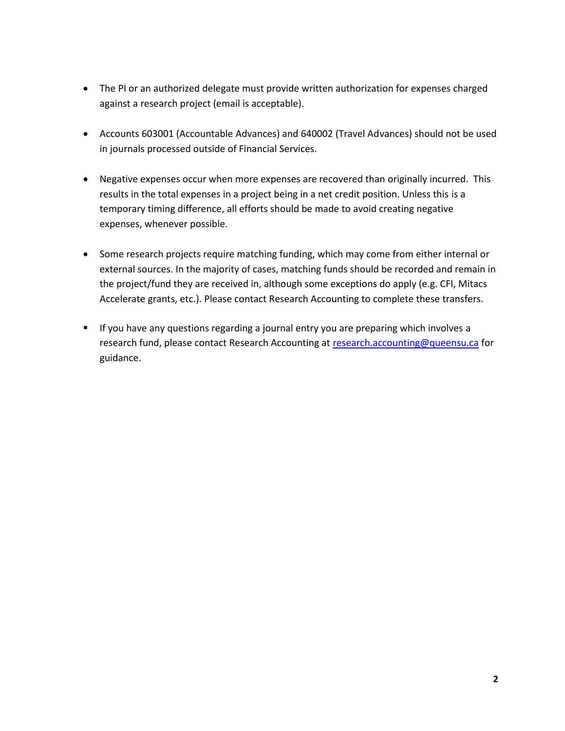- The PI or an authorized delegate must provide written authorization for expenses charged against a research project (email is acceptable).
- Accounts 603001 (Accountable Advances) and 640002 (Travel Advances) should not be used in journals processed outside of Financial Services.
- Negative expenses occur when more expenses are recovered than originally incurred. This results in the total expenses in a project being in a net credit position. Unless this is a temporary timing difference, all efforts should be made to avoid creating negative expenses, whenever possible.
- **•** Some research projects require matching funding, which may come from either internal or external sources. In the majority of cases, matching funds should be recorded and remain in the project/fund they are received in, although some exceptions do apply (e.g. CFI, Mitacs Accelerate grants, etc.). Please contact Research Accounting to complete these transfers.
- **If you have any questions regarding a journal entry you are preparing which involves a** research fund, please contact Research Accounting at [research.accounting@queensu.ca](mailto:research.accounting@queensu.ca) for guidance.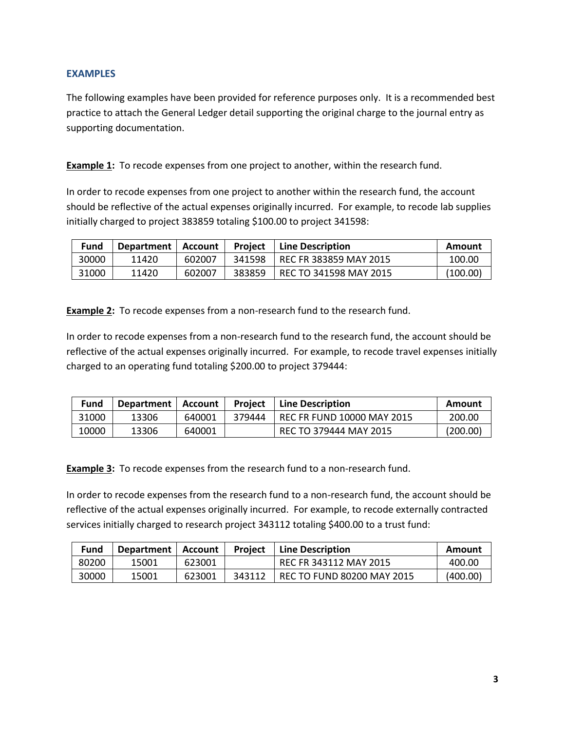## **EXAMPLES**

 The following examples have been provided for reference purposes only. It is a recommended best practice to attach the General Ledger detail supporting the original charge to the journal entry as supporting documentation.

**Example 1:** To recode expenses from one project to another, within the research fund.

 In order to recode expenses from one project to another within the research fund, the account should be reflective of the actual expenses originally incurred. For example, to recode lab supplies initially charged to project 383859 totaling \$100.00 to project 341598:

| <b>Fund</b> | Department   Account |        | <b>Project</b> | Line Description       | Amount   |
|-------------|----------------------|--------|----------------|------------------------|----------|
| 30000       | 11420                | 602007 | 341598         | REC FR 383859 MAY 2015 | 100.00   |
| 31000       | 11420                | 602007 | 383859         | REC TO 341598 MAY 2015 | (100.00) |

 **Example 2:** To recode expenses from a non-research fund to the research fund.

 In order to recode expenses from a non-research fund to the research fund, the account should be reflective of the actual expenses originally incurred. For example, to recode travel expenses initially charged to an operating fund totaling \$200.00 to project 379444:

| Fund  | Department   Account |        | Project | <b>Line Description</b>           | Amount   |
|-------|----------------------|--------|---------|-----------------------------------|----------|
| 31000 | 13306                | 640001 | 379444  | <b>REC FR FUND 10000 MAY 2015</b> | 200.00   |
| 10000 | 13306                | 640001 |         | REC TO 379444 MAY 2015            | (200.00) |

 **Example 3:** To recode expenses from the research fund to a non-research fund.

 In order to recode expenses from the research fund to a non-research fund, the account should be reflective of the actual expenses originally incurred. For example, to recode externally contracted services initially charged to research project 343112 totaling \$400.00 to a trust fund:

| Fund  | <b>Department</b> | Account | <b>Project</b> | Line Description           | Amount   |
|-------|-------------------|---------|----------------|----------------------------|----------|
| 80200 | 15001             | 623001  |                | REC FR 343112 MAY 2015     | 400.00   |
| 30000 | 15001             | 623001  | 343112         | REC TO FUND 80200 MAY 2015 | (400.00) |